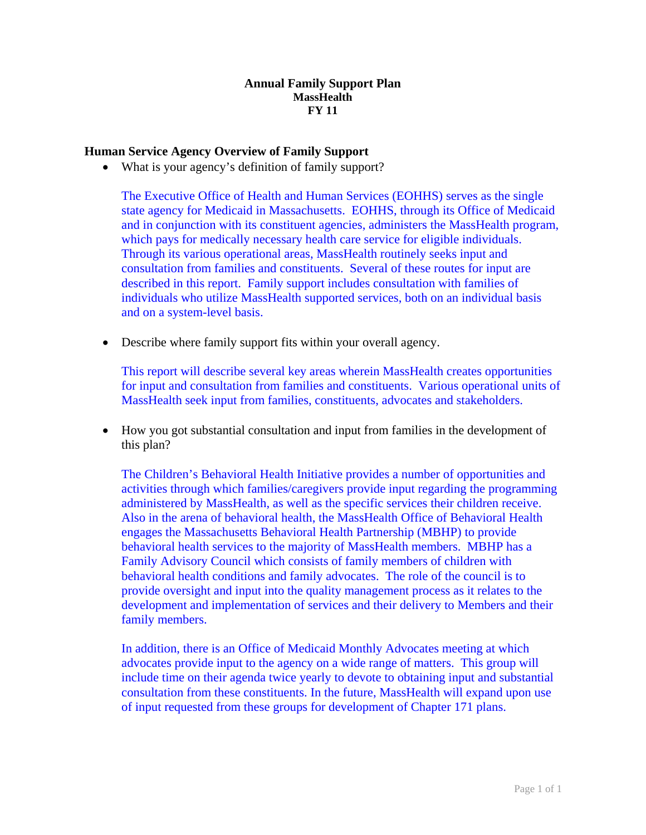### **Annual Family Support Plan MassHealth FY 11**

# **Human Service Agency Overview of Family Support**

• What is your agency's definition of family support?

The Executive Office of Health and Human Services (EOHHS) serves as the single state agency for Medicaid in Massachusetts. EOHHS, through its Office of Medicaid and in conjunction with its constituent agencies, administers the MassHealth program, which pays for medically necessary health care service for eligible individuals. Through its various operational areas, MassHealth routinely seeks input and consultation from families and constituents. Several of these routes for input are described in this report. Family support includes consultation with families of individuals who utilize MassHealth supported services, both on an individual basis and on a system-level basis.

• Describe where family support fits within your overall agency.

This report will describe several key areas wherein MassHealth creates opportunities for input and consultation from families and constituents. Various operational units of MassHealth seek input from families, constituents, advocates and stakeholders.

• How you got substantial consultation and input from families in the development of this plan?

The Children's Behavioral Health Initiative provides a number of opportunities and activities through which families/caregivers provide input regarding the programming administered by MassHealth, as well as the specific services their children receive. Also in the arena of behavioral health, the MassHealth Office of Behavioral Health engages the Massachusetts Behavioral Health Partnership (MBHP) to provide behavioral health services to the majority of MassHealth members. MBHP has a Family Advisory Council which consists of family members of children with behavioral health conditions and family advocates. The role of the council is to provide oversight and input into the quality management process as it relates to the development and implementation of services and their delivery to Members and their family members.

In addition, there is an Office of Medicaid Monthly Advocates meeting at which advocates provide input to the agency on a wide range of matters. This group will include time on their agenda twice yearly to devote to obtaining input and substantial consultation from these constituents. In the future, MassHealth will expand upon use of input requested from these groups for development of Chapter 171 plans.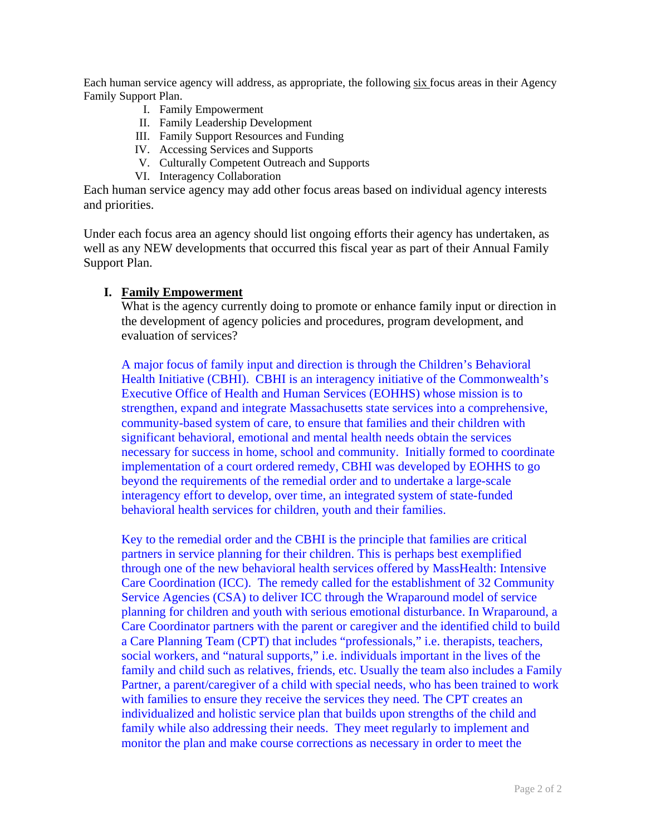Each human service agency will address, as appropriate, the following six focus areas in their Agency Family Support Plan.

- I. Family Empowerment
- II. Family Leadership Development
- III. Family Support Resources and Funding
- IV. Accessing Services and Supports
- V. Culturally Competent Outreach and Supports
- VI. Interagency Collaboration

Each human service agency may add other focus areas based on individual agency interests and priorities.

Under each focus area an agency should list ongoing efforts their agency has undertaken, as well as any NEW developments that occurred this fiscal year as part of their Annual Family Support Plan.

#### **I. Family Empowerment**

What is the agency currently doing to promote or enhance family input or direction in the development of agency policies and procedures, program development, and evaluation of services?

A major focus of family input and direction is through the Children's Behavioral Health Initiative (CBHI). CBHI is an interagency initiative of the Commonwealth's Executive Office of Health and Human Services (EOHHS) whose mission is to strengthen, expand and integrate Massachusetts state services into a comprehensive, community-based system of care, to ensure that families and their children with significant behavioral, emotional and mental health needs obtain the services necessary for success in home, school and community. Initially formed to coordinate implementation of a court ordered remedy, CBHI was developed by EOHHS to go beyond the requirements of the remedial order and to undertake a large-scale interagency effort to develop, over time, an integrated system of state-funded behavioral health services for children, youth and their families.

Key to the remedial order and the CBHI is the principle that families are critical partners in service planning for their children. This is perhaps best exemplified through one of the new behavioral health services offered by MassHealth: Intensive Care Coordination (ICC). The remedy called for the establishment of 32 Community Service Agencies (CSA) to deliver ICC through the Wraparound model of service planning for children and youth with serious emotional disturbance. In Wraparound, a Care Coordinator partners with the parent or caregiver and the identified child to build a Care Planning Team (CPT) that includes "professionals," i.e. therapists, teachers, social workers, and "natural supports," i.e. individuals important in the lives of the family and child such as relatives, friends, etc. Usually the team also includes a Family Partner, a parent/caregiver of a child with special needs, who has been trained to work with families to ensure they receive the services they need. The CPT creates an individualized and holistic service plan that builds upon strengths of the child and family while also addressing their needs. They meet regularly to implement and monitor the plan and make course corrections as necessary in order to meet the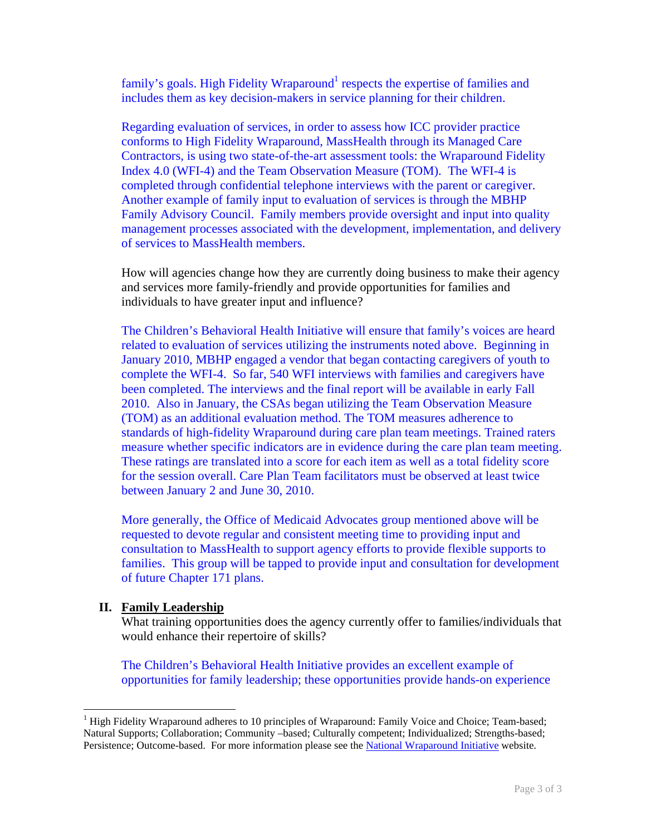family's goals. High Fidelity Wraparound<sup>[1](#page-2-0)</sup> respects the expertise of families and includes them as key decision-makers in service planning for their children.

Regarding evaluation of services, in order to assess how ICC provider practice conforms to High Fidelity Wraparound, MassHealth through its Managed Care Contractors, is using two state-of-the-art assessment tools: the Wraparound Fidelity Index 4.0 (WFI-4) and the Team Observation Measure (TOM). The WFI-4 is completed through confidential telephone interviews with the parent or caregiver. Another example of family input to evaluation of services is through the MBHP Family Advisory Council. Family members provide oversight and input into quality management processes associated with the development, implementation, and delivery of services to MassHealth members.

How will agencies change how they are currently doing business to make their agency and services more family-friendly and provide opportunities for families and individuals to have greater input and influence?

The Children's Behavioral Health Initiative will ensure that family's voices are heard related to evaluation of services utilizing the instruments noted above. Beginning in January 2010, MBHP engaged a vendor that began contacting caregivers of youth to complete the WFI-4. So far, 540 WFI interviews with families and caregivers have been completed. The interviews and the final report will be available in early Fall 2010. Also in January, the CSAs began utilizing the Team Observation Measure (TOM) as an additional evaluation method. The TOM measures adherence to standards of high-fidelity Wraparound during care plan team meetings. Trained raters measure whether specific indicators are in evidence during the care plan team meeting. These ratings are translated into a score for each item as well as a total fidelity score for the session overall. Care Plan Team facilitators must be observed at least twice between January 2 and June 30, 2010.

More generally, the Office of Medicaid Advocates group mentioned above will be requested to devote regular and consistent meeting time to providing input and consultation to MassHealth to support agency efforts to provide flexible supports to families. This group will be tapped to provide input and consultation for development of future Chapter 171 plans.

# **II. Family Leadership**

 $\overline{a}$ 

What training opportunities does the agency currently offer to families/individuals that would enhance their repertoire of skills?

The Children's Behavioral Health Initiative provides an excellent example of opportunities for family leadership; these opportunities provide hands-on experience

<span id="page-2-0"></span><sup>&</sup>lt;sup>1</sup> High Fidelity Wraparound adheres to 10 principles of Wraparound: Family Voice and Choice; Team-based; Natural Supports; Collaboration; Community –based; Culturally competent; Individualized; Strengths-based; Persistence; Outcome-based. For more information please see the [National Wraparound Initiative](http://www.nwi.pdx.edu/) website.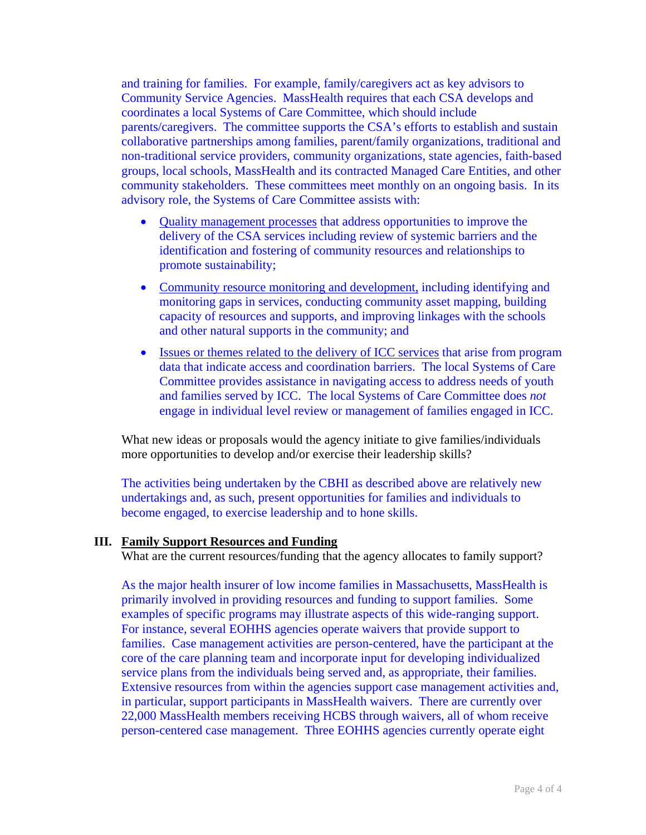and training for families. For example, family/caregivers act as key advisors to Community Service Agencies. MassHealth requires that each CSA develops and coordinates a local Systems of Care Committee, which should include parents/caregivers. The committee supports the CSA's efforts to establish and sustain collaborative partnerships among families, parent/family organizations, traditional and non-traditional service providers, community organizations, state agencies, faith-based groups, local schools, MassHealth and its contracted Managed Care Entities, and other community stakeholders. These committees meet monthly on an ongoing basis. In its advisory role, the Systems of Care Committee assists with:

- Quality management processes that address opportunities to improve the delivery of the CSA services including review of systemic barriers and the identification and fostering of community resources and relationships to promote sustainability;
- Community resource monitoring and development, including identifying and monitoring gaps in services, conducting community asset mapping, building capacity of resources and supports, and improving linkages with the schools and other natural supports in the community; and
- Issues or themes related to the delivery of ICC services that arise from program data that indicate access and coordination barriers. The local Systems of Care Committee provides assistance in navigating access to address needs of youth and families served by ICC. The local Systems of Care Committee does *not* engage in individual level review or management of families engaged in ICC.

What new ideas or proposals would the agency initiate to give families/individuals more opportunities to develop and/or exercise their leadership skills?

The activities being undertaken by the CBHI as described above are relatively new undertakings and, as such, present opportunities for families and individuals to become engaged, to exercise leadership and to hone skills.

#### **III. Family Support Resources and Funding**

What are the current resources/funding that the agency allocates to family support?

As the major health insurer of low income families in Massachusetts, MassHealth is primarily involved in providing resources and funding to support families. Some examples of specific programs may illustrate aspects of this wide-ranging support. For instance, several EOHHS agencies operate waivers that provide support to families. Case management activities are person-centered, have the participant at the core of the care planning team and incorporate input for developing individualized service plans from the individuals being served and, as appropriate, their families. Extensive resources from within the agencies support case management activities and, in particular, support participants in MassHealth waivers. There are currently over 22,000 MassHealth members receiving HCBS through waivers, all of whom receive person-centered case management. Three EOHHS agencies currently operate eight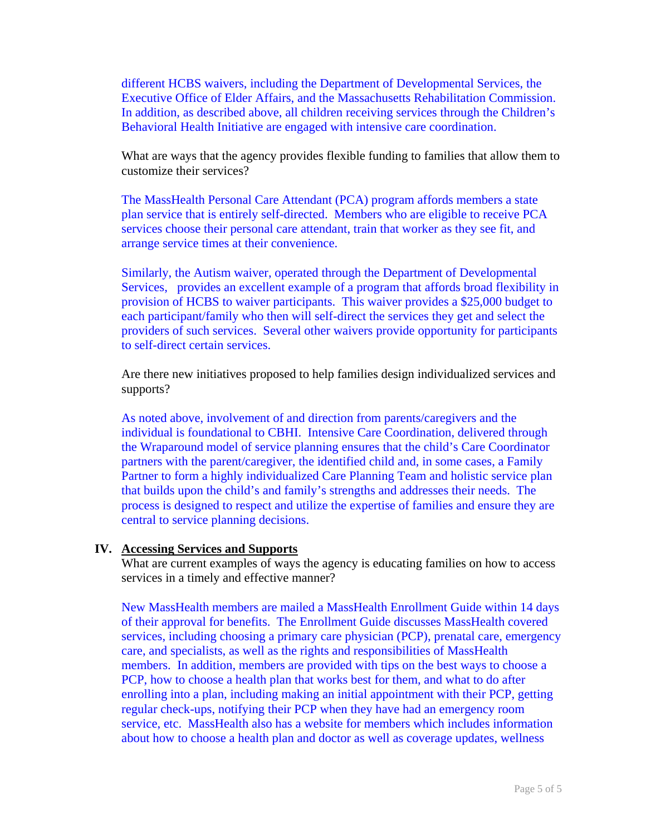different HCBS waivers, including the Department of Developmental Services, the Executive Office of Elder Affairs, and the Massachusetts Rehabilitation Commission. In addition, as described above, all children receiving services through the Children's Behavioral Health Initiative are engaged with intensive care coordination.

What are ways that the agency provides flexible funding to families that allow them to customize their services?

The MassHealth Personal Care Attendant (PCA) program affords members a state plan service that is entirely self-directed. Members who are eligible to receive PCA services choose their personal care attendant, train that worker as they see fit, and arrange service times at their convenience.

Similarly, the Autism waiver, operated through the Department of Developmental Services, provides an excellent example of a program that affords broad flexibility in provision of HCBS to waiver participants. This waiver provides a \$25,000 budget to each participant/family who then will self-direct the services they get and select the providers of such services. Several other waivers provide opportunity for participants to self-direct certain services.

Are there new initiatives proposed to help families design individualized services and supports?

As noted above, involvement of and direction from parents/caregivers and the individual is foundational to CBHI. Intensive Care Coordination, delivered through the Wraparound model of service planning ensures that the child's Care Coordinator partners with the parent/caregiver, the identified child and, in some cases, a Family Partner to form a highly individualized Care Planning Team and holistic service plan that builds upon the child's and family's strengths and addresses their needs. The process is designed to respect and utilize the expertise of families and ensure they are central to service planning decisions.

#### **IV. Accessing Services and Supports**

What are current examples of ways the agency is educating families on how to access services in a timely and effective manner?

New MassHealth members are mailed a MassHealth Enrollment Guide within 14 days of their approval for benefits. The Enrollment Guide discusses MassHealth covered services, including choosing a primary care physician (PCP), prenatal care, emergency care, and specialists, as well as the rights and responsibilities of MassHealth members. In addition, members are provided with tips on the best ways to choose a PCP, how to choose a health plan that works best for them, and what to do after enrolling into a plan, including making an initial appointment with their PCP, getting regular check-ups, notifying their PCP when they have had an emergency room service, etc. MassHealth also has a website for members which includes information about how to choose a health plan and doctor as well as coverage updates, wellness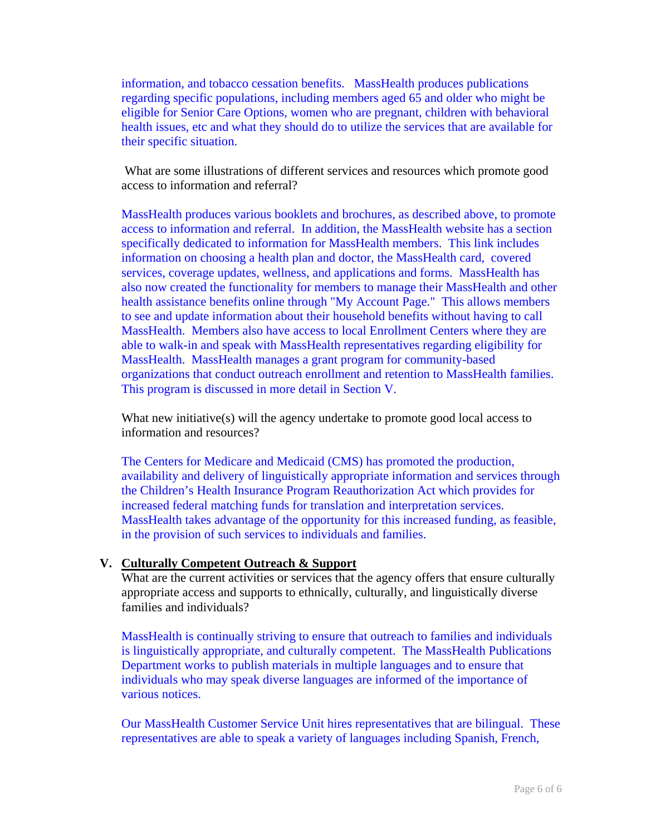information, and tobacco cessation benefits. MassHealth produces publications regarding specific populations, including members aged 65 and older who might be eligible for Senior Care Options, women who are pregnant, children with behavioral health issues, etc and what they should do to utilize the services that are available for their specific situation.

 What are some illustrations of different services and resources which promote good access to information and referral?

MassHealth produces various booklets and brochures, as described above, to promote access to information and referral. In addition, the MassHealth website has a section specifically dedicated to information for MassHealth members. This link includes information on choosing a health plan and doctor, the MassHealth card, covered services, coverage updates, wellness, and applications and forms. MassHealth has also now created the functionality for members to manage their MassHealth and other health assistance benefits online through "My Account Page." This allows members to see and update information about their household benefits without having to call MassHealth. Members also have access to local Enrollment Centers where they are able to walk-in and speak with MassHealth representatives regarding eligibility for MassHealth. MassHealth manages a grant program for community-based organizations that conduct outreach enrollment and retention to MassHealth families. This program is discussed in more detail in Section V.

What new initiative(s) will the agency undertake to promote good local access to information and resources?

The Centers for Medicare and Medicaid (CMS) has promoted the production, availability and delivery of linguistically appropriate information and services through the Children's Health Insurance Program Reauthorization Act which provides for increased federal matching funds for translation and interpretation services. MassHealth takes advantage of the opportunity for this increased funding, as feasible, in the provision of such services to individuals and families.

# **V. Culturally Competent Outreach & Support**

What are the current activities or services that the agency offers that ensure culturally appropriate access and supports to ethnically, culturally, and linguistically diverse families and individuals?

MassHealth is continually striving to ensure that outreach to families and individuals is linguistically appropriate, and culturally competent. The MassHealth Publications Department works to publish materials in multiple languages and to ensure that individuals who may speak diverse languages are informed of the importance of various notices.

Our MassHealth Customer Service Unit hires representatives that are bilingual. These representatives are able to speak a variety of languages including Spanish, French,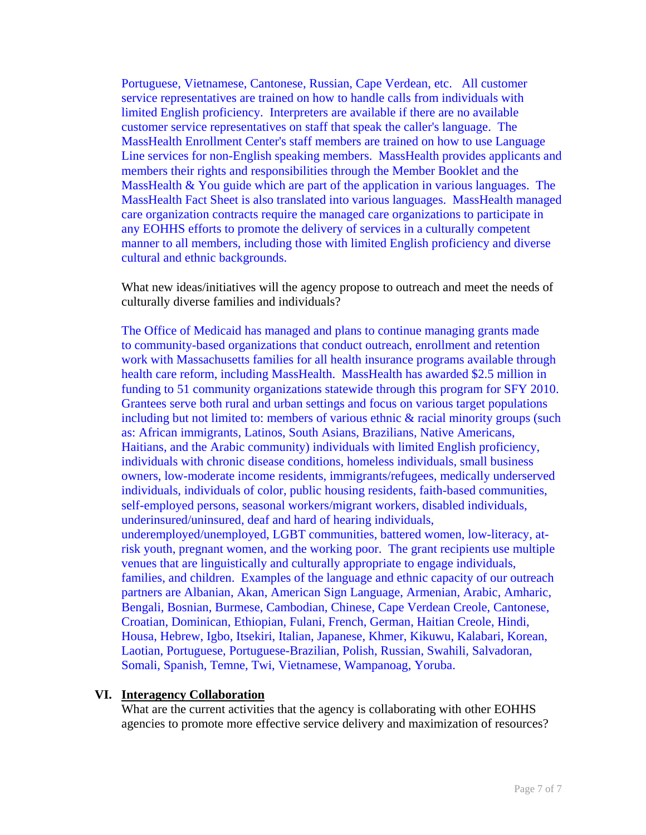Portuguese, Vietnamese, Cantonese, Russian, Cape Verdean, etc. All customer service representatives are trained on how to handle calls from individuals with limited English proficiency. Interpreters are available if there are no available customer service representatives on staff that speak the caller's language. The MassHealth Enrollment Center's staff members are trained on how to use Language Line services for non-English speaking members. MassHealth provides applicants and members their rights and responsibilities through the Member Booklet and the MassHealth & You guide which are part of the application in various languages. The MassHealth Fact Sheet is also translated into various languages. MassHealth managed care organization contracts require the managed care organizations to participate in any EOHHS efforts to promote the delivery of services in a culturally competent manner to all members, including those with limited English proficiency and diverse cultural and ethnic backgrounds.

What new ideas/initiatives will the agency propose to outreach and meet the needs of culturally diverse families and individuals?

The Office of Medicaid has managed and plans to continue managing grants made to community-based organizations that conduct outreach, enrollment and retention work with Massachusetts families for all health insurance programs available through health care reform, including MassHealth. MassHealth has awarded \$2.5 million in funding to 51 community organizations statewide through this program for SFY 2010. Grantees serve both rural and urban settings and focus on various target populations including but not limited to: members of various ethnic & racial minority groups (such as: African immigrants, Latinos, South Asians, Brazilians, Native Americans, Haitians, and the Arabic community) individuals with limited English proficiency, individuals with chronic disease conditions, homeless individuals, small business owners, low-moderate income residents, immigrants/refugees, medically underserved individuals, individuals of color, public housing residents, faith-based communities, self-employed persons, seasonal workers/migrant workers, disabled individuals, underinsured/uninsured, deaf and hard of hearing individuals, underemployed/unemployed, LGBT communities, battered women, low-literacy, atrisk youth, pregnant women, and the working poor. The grant recipients use multiple venues that are linguistically and culturally appropriate to engage individuals, families, and children. Examples of the language and ethnic capacity of our outreach partners are Albanian, Akan, American Sign Language, Armenian, Arabic, Amharic, Bengali, Bosnian, Burmese, Cambodian, Chinese, Cape Verdean Creole, Cantonese, Croatian, Dominican, Ethiopian, Fulani, French, German, Haitian Creole, Hindi, Housa, Hebrew, Igbo, Itsekiri, Italian, Japanese, Khmer, Kikuwu, Kalabari, Korean, Laotian, Portuguese, Portuguese-Brazilian, Polish, Russian, Swahili, Salvadoran, Somali, Spanish, Temne, Twi, Vietnamese, Wampanoag, Yoruba.

### **VI. Interagency Collaboration**

What are the current activities that the agency is collaborating with other EOHHS agencies to promote more effective service delivery and maximization of resources?